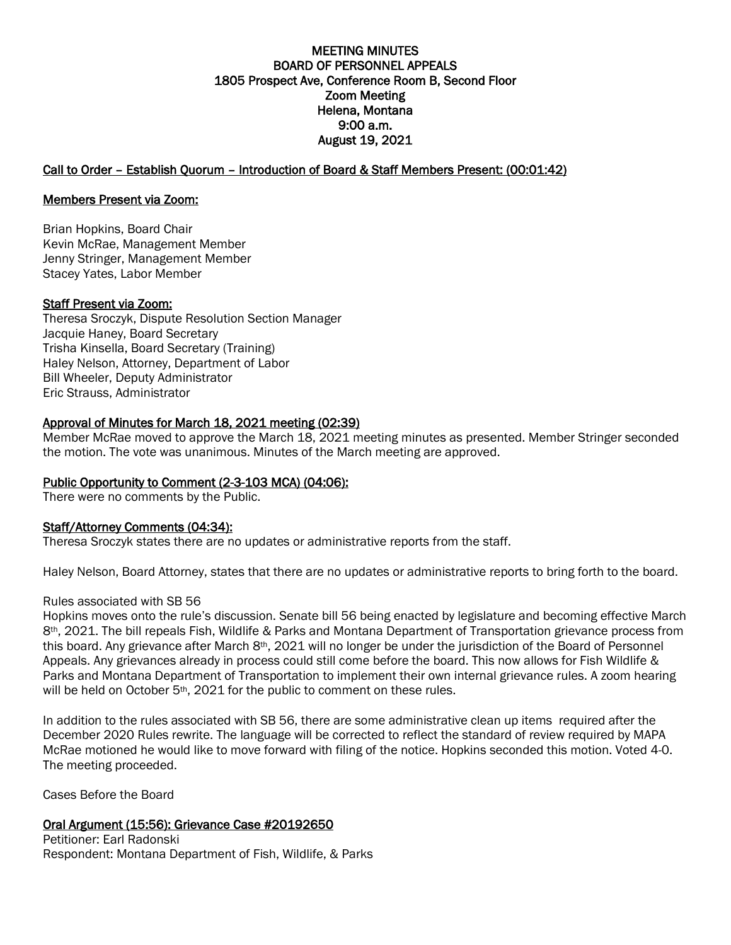### MEETING MINUTES BOARD OF PERSONNEL APPEALS 1805 Prospect Ave, Conference Room B, Second Floor Zoom Meeting Helena, Montana 9:00 a.m. August 19, 2021

### Call to Order – Establish Quorum – Introduction of Board & Staff Members Present: (00:01:42)

### Members Present via Zoom:

Brian Hopkins, Board Chair Kevin McRae, Management Member Jenny Stringer, Management Member Stacey Yates, Labor Member

### Staff Present via Zoom:

Theresa Sroczyk, Dispute Resolution Section Manager Jacquie Haney, Board Secretary Trisha Kinsella, Board Secretary (Training) Haley Nelson, Attorney, Department of Labor Bill Wheeler, Deputy Administrator Eric Strauss, Administrator

### Approval of Minutes for March 18, 2021 meeting (02:39)

Member McRae moved to approve the March 18, 2021 meeting minutes as presented. Member Stringer seconded the motion. The vote was unanimous. Minutes of the March meeting are approved.

### Public Opportunity to Comment (2-3-103 MCA) (04:06):

There were no comments by the Public.

### Staff/Attorney Comments (04:34):

Theresa Sroczyk states there are no updates or administrative reports from the staff.

Haley Nelson, Board Attorney, states that there are no updates or administrative reports to bring forth to the board.

### Rules associated with SB 56

Hopkins moves onto the rule's discussion. Senate bill 56 being enacted by legislature and becoming effective March 8th, 2021. The bill repeals Fish, Wildlife & Parks and Montana Department of Transportation grievance process from this board. Any grievance after March  $8<sup>th</sup>$ , 2021 will no longer be under the jurisdiction of the Board of Personnel Appeals. Any grievances already in process could still come before the board. This now allows for Fish Wildlife & Parks and Montana Department of Transportation to implement their own internal grievance rules. A zoom hearing will be held on October 5<sup>th</sup>, 2021 for the public to comment on these rules.

In addition to the rules associated with SB 56, there are some administrative clean up items required after the December 2020 Rules rewrite. The language will be corrected to reflect the standard of review required by MAPA McRae motioned he would like to move forward with filing of the notice. Hopkins seconded this motion. Voted 4-0. The meeting proceeded.

Cases Before the Board

# Oral Argument (15:56): Grievance Case #20192650

Petitioner: Earl Radonski Respondent: Montana Department of Fish, Wildlife, & Parks